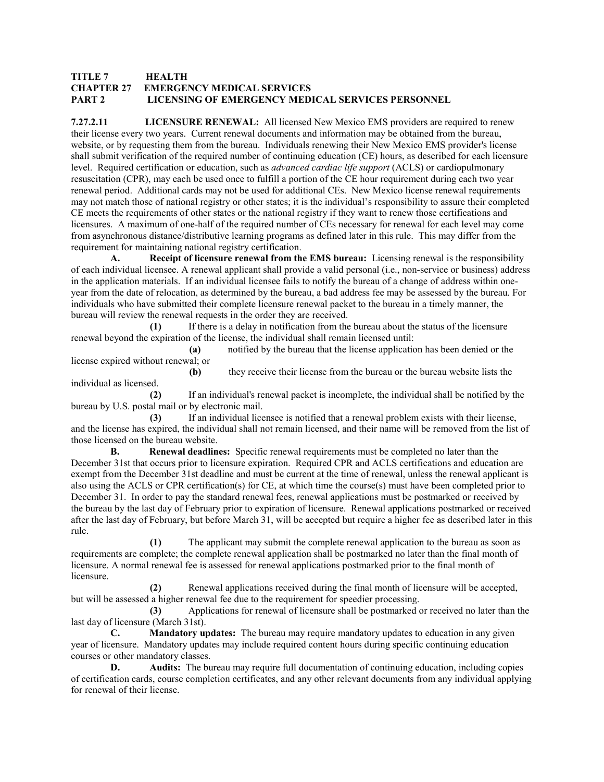## **TITLE 7 HEALTH CHAPTER 27 EMERGENCY MEDICAL SERVICES PART 2 LICENSING OF EMERGENCY MEDICAL SERVICES PERSONNEL**

**7.27.2.11 LICENSURE RENEWAL:** All licensed New Mexico EMS providers are required to renew their license every two years. Current renewal documents and information may be obtained from the bureau, website, or by requesting them from the bureau. Individuals renewing their New Mexico EMS provider's license shall submit verification of the required number of continuing education (CE) hours, as described for each licensure level. Required certification or education, such as *advanced cardiac life support* (ACLS) or cardiopulmonary resuscitation (CPR), may each be used once to fulfill a portion of the CE hour requirement during each two year renewal period. Additional cards may not be used for additional CEs. New Mexico license renewal requirements may not match those of national registry or other states; it is the individual's responsibility to assure their completed CE meets the requirements of other states or the national registry if they want to renew those certifications and licensures. A maximum of one-half of the required number of CEs necessary for renewal for each level may come from asynchronous distance/distributive learning programs as defined later in this rule. This may differ from the requirement for maintaining national registry certification.

**Receipt of licensure renewal from the EMS bureau:** Licensing renewal is the responsibility of each individual licensee. A renewal applicant shall provide a valid personal (i.e., non-service or business) address in the application materials. If an individual licensee fails to notify the bureau of a change of address within oneyear from the date of relocation, as determined by the bureau, a bad address fee may be assessed by the bureau. For individuals who have submitted their complete licensure renewal packet to the bureau in a timely manner, the bureau will review the renewal requests in the order they are received.

 **(1)** If there is a delay in notification from the bureau about the status of the licensure renewal beyond the expiration of the license, the individual shall remain licensed until:

 **(a)** notified by the bureau that the license application has been denied or the license expired without renewal; or

 **(b)** they receive their license from the bureau or the bureau website lists the individual as licensed.

 **(2)** If an individual's renewal packet is incomplete, the individual shall be notified by the bureau by U.S. postal mail or by electronic mail.

 **(3)** If an individual licensee is notified that a renewal problem exists with their license, and the license has expired, the individual shall not remain licensed, and their name will be removed from the list of those licensed on the bureau website.

**B.** Renewal deadlines: Specific renewal requirements must be completed no later than the December 31st that occurs prior to licensure expiration. Required CPR and ACLS certifications and education are exempt from the December 31st deadline and must be current at the time of renewal, unless the renewal applicant is also using the ACLS or CPR certification(s) for CE, at which time the course(s) must have been completed prior to December 31. In order to pay the standard renewal fees, renewal applications must be postmarked or received by the bureau by the last day of February prior to expiration of licensure. Renewal applications postmarked or received after the last day of February, but before March 31, will be accepted but require a higher fee as described later in this rule.

 **(1)** The applicant may submit the complete renewal application to the bureau as soon as requirements are complete; the complete renewal application shall be postmarked no later than the final month of licensure. A normal renewal fee is assessed for renewal applications postmarked prior to the final month of licensure.

 **(2)** Renewal applications received during the final month of licensure will be accepted, but will be assessed a higher renewal fee due to the requirement for speedier processing.

 **(3)** Applications for renewal of licensure shall be postmarked or received no later than the last day of licensure (March 31st).

 **C. Mandatory updates:** The bureau may require mandatory updates to education in any given year of licensure. Mandatory updates may include required content hours during specific continuing education courses or other mandatory classes.

**D.** Audits: The bureau may require full documentation of continuing education, including copies of certification cards, course completion certificates, and any other relevant documents from any individual applying for renewal of their license.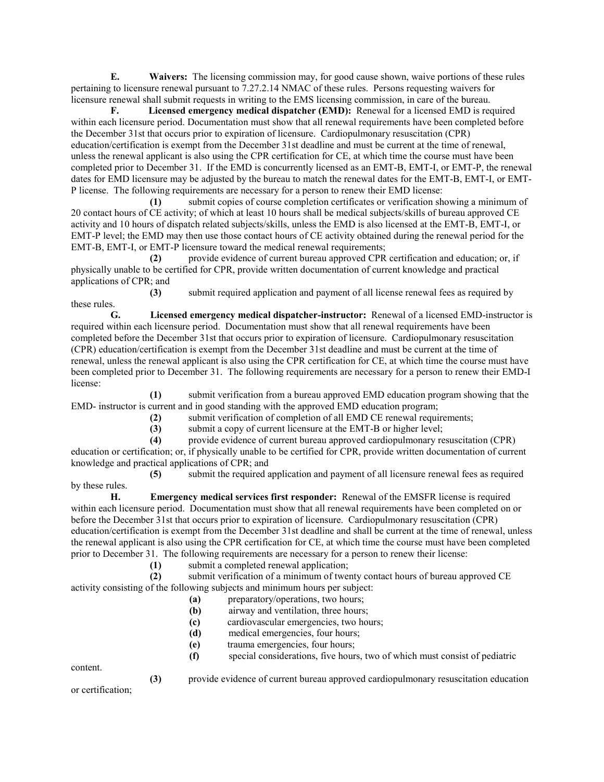**E. Waivers:** The licensing commission may, for good cause shown, waive portions of these rules pertaining to licensure renewal pursuant to 7.27.2.14 NMAC of these rules. Persons requesting waivers for licensure renewal shall submit requests in writing to the EMS licensing commission, in care of the bureau.

 **F. Licensed emergency medical dispatcher (EMD):** Renewal for a licensed EMD is required within each licensure period. Documentation must show that all renewal requirements have been completed before the December 31st that occurs prior to expiration of licensure. Cardiopulmonary resuscitation (CPR) education/certification is exempt from the December 31st deadline and must be current at the time of renewal, unless the renewal applicant is also using the CPR certification for CE, at which time the course must have been completed prior to December 31. If the EMD is concurrently licensed as an EMT-B, EMT-I, or EMT-P, the renewal dates for EMD licensure may be adjusted by the bureau to match the renewal dates for the EMT-B, EMT-I, or EMT-P license. The following requirements are necessary for a person to renew their EMD license:

 **(1)** submit copies of course completion certificates or verification showing a minimum of 20 contact hours of CE activity; of which at least 10 hours shall be medical subjects/skills of bureau approved CE activity and 10 hours of dispatch related subjects/skills, unless the EMD is also licensed at the EMT-B, EMT-I, or EMT-P level; the EMD may then use those contact hours of CE activity obtained during the renewal period for the EMT-B, EMT-I, or EMT-P licensure toward the medical renewal requirements;

 **(2)** provide evidence of current bureau approved CPR certification and education; or, if physically unable to be certified for CPR, provide written documentation of current knowledge and practical applications of CPR; and

 **(3)** submit required application and payment of all license renewal fees as required by these rules.

 **G. Licensed emergency medical dispatcher-instructor:** Renewal of a licensed EMD-instructor is required within each licensure period. Documentation must show that all renewal requirements have been completed before the December 31st that occurs prior to expiration of licensure. Cardiopulmonary resuscitation (CPR) education/certification is exempt from the December 31st deadline and must be current at the time of renewal, unless the renewal applicant is also using the CPR certification for CE, at which time the course must have been completed prior to December 31. The following requirements are necessary for a person to renew their EMD-I license:

 **(1)** submit verification from a bureau approved EMD education program showing that the EMD- instructor is current and in good standing with the approved EMD education program;

 **(2)** submit verification of completion of all EMD CE renewal requirements;

 **(3)** submit a copy of current licensure at the EMT-B or higher level;

 **(4)** provide evidence of current bureau approved cardiopulmonary resuscitation (CPR) education or certification; or, if physically unable to be certified for CPR, provide written documentation of current knowledge and practical applications of CPR; and

 **(5)** submit the required application and payment of all licensure renewal fees as required by these rules.

 **H. Emergency medical services first responder:** Renewal of the EMSFR license is required within each licensure period. Documentation must show that all renewal requirements have been completed on or before the December 31st that occurs prior to expiration of licensure. Cardiopulmonary resuscitation (CPR) education/certification is exempt from the December 31st deadline and shall be current at the time of renewal, unless the renewal applicant is also using the CPR certification for CE, at which time the course must have been completed prior to December 31. The following requirements are necessary for a person to renew their license:

**(1)** submit a completed renewal application;

 **(2)** submit verification of a minimum of twenty contact hours of bureau approved CE activity consisting of the following subjects and minimum hours per subject:

- **(a)** preparatory/operations, two hours;
- **(b)** airway and ventilation, three hours;
- **(c)** cardiovascular emergencies, two hours;
- **(d)** medical emergencies, four hours;
- **(e)** trauma emergencies, four hours;
- **(f)** special considerations, five hours, two of which must consist of pediatric

content.

 **(3)** provide evidence of current bureau approved cardiopulmonary resuscitation education

or certification;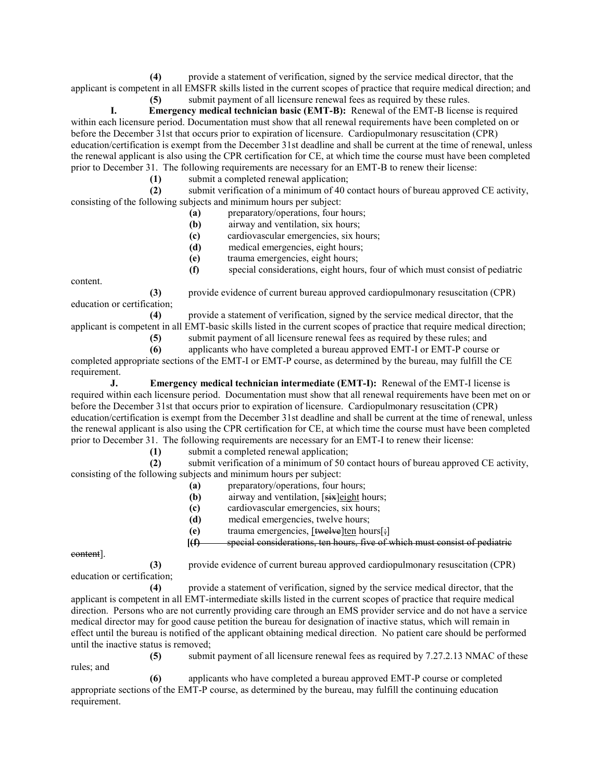**(4)** provide a statement of verification, signed by the service medical director, that the applicant is competent in all EMSFR skills listed in the current scopes of practice that require medical direction; and

 **(5)** submit payment of all licensure renewal fees as required by these rules.

 **I. Emergency medical technician basic (EMT-B):** Renewal of the EMT-B license is required within each licensure period. Documentation must show that all renewal requirements have been completed on or before the December 31st that occurs prior to expiration of licensure. Cardiopulmonary resuscitation (CPR) education/certification is exempt from the December 31st deadline and shall be current at the time of renewal, unless the renewal applicant is also using the CPR certification for CE, at which time the course must have been completed prior to December 31. The following requirements are necessary for an EMT-B to renew their license:

**(1)** submit a completed renewal application;<br>**(2)** submit verification of a minimum of 40 c

submit verification of a minimum of 40 contact hours of bureau approved CE activity, consisting of the following subjects and minimum hours per subject:

- **(a)** preparatory/operations, four hours;
- **(b)** airway and ventilation, six hours;
- **(c)** cardiovascular emergencies, six hours;
- **(d)** medical emergencies, eight hours;
- **(e)** trauma emergencies, eight hours;
- **(f)** special considerations, eight hours, four of which must consist of pediatric

content.

 **(3)** provide evidence of current bureau approved cardiopulmonary resuscitation (CPR) education or certification;

 **(4)** provide a statement of verification, signed by the service medical director, that the applicant is competent in all EMT-basic skills listed in the current scopes of practice that require medical direction;

 **(5)** submit payment of all licensure renewal fees as required by these rules; and

 **(6)** applicants who have completed a bureau approved EMT-I or EMT-P course or completed appropriate sections of the EMT-I or EMT-P course, as determined by the bureau, may fulfill the CE requirement.

**J.** Emergency medical technician intermediate (EMT-I): Renewal of the EMT-I license is required within each licensure period. Documentation must show that all renewal requirements have been met on or before the December 31st that occurs prior to expiration of licensure. Cardiopulmonary resuscitation (CPR) education/certification is exempt from the December 31st deadline and shall be current at the time of renewal, unless the renewal applicant is also using the CPR certification for CE, at which time the course must have been completed prior to December 31. The following requirements are necessary for an EMT-I to renew their license:

**(1)** submit a completed renewal application;<br>**(2)** submit verification of a minimum of 50 c

submit verification of a minimum of 50 contact hours of bureau approved CE activity, consisting of the following subjects and minimum hours per subject:

- **(a)** preparatory/operations, four hours;
- **(b)** airway and ventilation, [six]eight hours;
- **(c)** cardiovascular emergencies, six hours;
- **(d)** medical emergencies, twelve hours;
- **(e)** trauma emergencies, [twelve]ten hours[;]
- **[(f)** special considerations, ten hours, five of which must consist of pediatric

content].

 **(3)** provide evidence of current bureau approved cardiopulmonary resuscitation (CPR) education or certification;

 **(4)** provide a statement of verification, signed by the service medical director, that the applicant is competent in all EMT-intermediate skills listed in the current scopes of practice that require medical direction. Persons who are not currently providing care through an EMS provider service and do not have a service medical director may for good cause petition the bureau for designation of inactive status, which will remain in effect until the bureau is notified of the applicant obtaining medical direction. No patient care should be performed until the inactive status is removed;

rules; and

 **(5)** submit payment of all licensure renewal fees as required by 7.27.2.13 NMAC of these

 **(6)** applicants who have completed a bureau approved EMT-P course or completed appropriate sections of the EMT-P course, as determined by the bureau, may fulfill the continuing education requirement.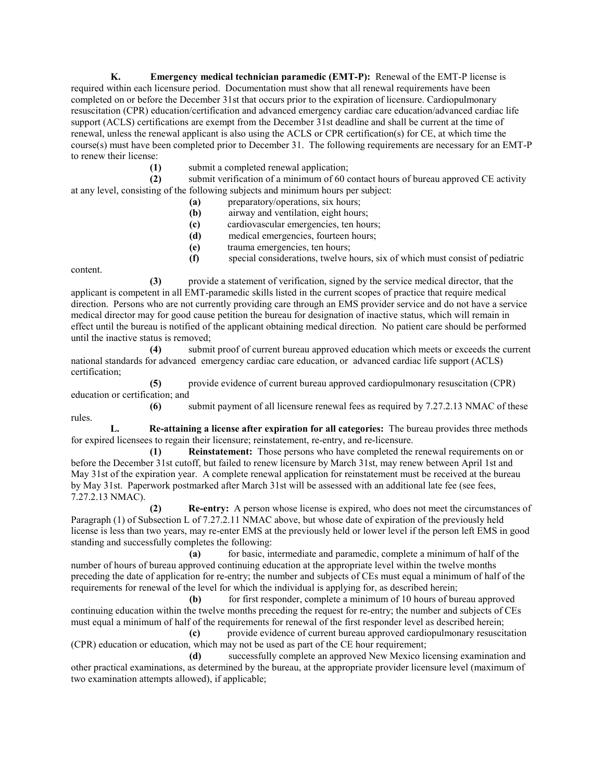**K. Emergency medical technician paramedic (EMT-P):** Renewal of the EMT-P license is required within each licensure period. Documentation must show that all renewal requirements have been completed on or before the December 31st that occurs prior to the expiration of licensure. Cardiopulmonary resuscitation (CPR) education/certification and advanced emergency cardiac care education/advanced cardiac life support (ACLS) certifications are exempt from the December 31st deadline and shall be current at the time of renewal, unless the renewal applicant is also using the ACLS or CPR certification(s) for CE, at which time the course(s) must have been completed prior to December 31. The following requirements are necessary for an EMT-P to renew their license:

 **(1)** submit a completed renewal application;

 **(2)** submit verification of a minimum of 60 contact hours of bureau approved CE activity at any level, consisting of the following subjects and minimum hours per subject:

- **(a)** preparatory/operations, six hours;
- **(b)** airway and ventilation, eight hours;
- **(c)** cardiovascular emergencies, ten hours;
- **(d)** medical emergencies, fourteen hours;
- **(e)** trauma emergencies, ten hours;
- **(f)** special considerations, twelve hours, six of which must consist of pediatric

content.

 **(3)** provide a statement of verification, signed by the service medical director, that the applicant is competent in all EMT-paramedic skills listed in the current scopes of practice that require medical direction. Persons who are not currently providing care through an EMS provider service and do not have a service medical director may for good cause petition the bureau for designation of inactive status, which will remain in effect until the bureau is notified of the applicant obtaining medical direction. No patient care should be performed until the inactive status is removed;

 **(4)** submit proof of current bureau approved education which meets or exceeds the current national standards for advanced emergency cardiac care education, or advanced cardiac life support (ACLS) certification;

 **(5)** provide evidence of current bureau approved cardiopulmonary resuscitation (CPR) education or certification; and

 **(6)** submit payment of all licensure renewal fees as required by 7.27.2.13 NMAC of these rules.

 **L. Re-attaining a license after expiration for all categories:** The bureau provides three methods for expired licensees to regain their licensure; reinstatement, re-entry, and re-licensure.

 **(1) Reinstatement:** Those persons who have completed the renewal requirements on or before the December 31st cutoff, but failed to renew licensure by March 31st, may renew between April 1st and May 31st of the expiration year. A complete renewal application for reinstatement must be received at the bureau by May 31st. Paperwork postmarked after March 31st will be assessed with an additional late fee (see fees, 7.27.2.13 NMAC).

 **(2) Re-entry:** A person whose license is expired, who does not meet the circumstances of Paragraph (1) of Subsection L of 7.27.2.11 NMAC above, but whose date of expiration of the previously held license is less than two years, may re-enter EMS at the previously held or lower level if the person left EMS in good standing and successfully completes the following:

 **(a)** for basic, intermediate and paramedic, complete a minimum of half of the number of hours of bureau approved continuing education at the appropriate level within the twelve months preceding the date of application for re-entry; the number and subjects of CEs must equal a minimum of half of the requirements for renewal of the level for which the individual is applying for, as described herein;

**(b)** for first responder, complete a minimum of 10 hours of bureau approved continuing education within the twelve months preceding the request for re-entry; the number and subjects of CEs must equal a minimum of half of the requirements for renewal of the first responder level as described herein;

 **(c)** provide evidence of current bureau approved cardiopulmonary resuscitation (CPR) education or education, which may not be used as part of the CE hour requirement;

 **(d)** successfully complete an approved New Mexico licensing examination and other practical examinations, as determined by the bureau, at the appropriate provider licensure level (maximum of two examination attempts allowed), if applicable;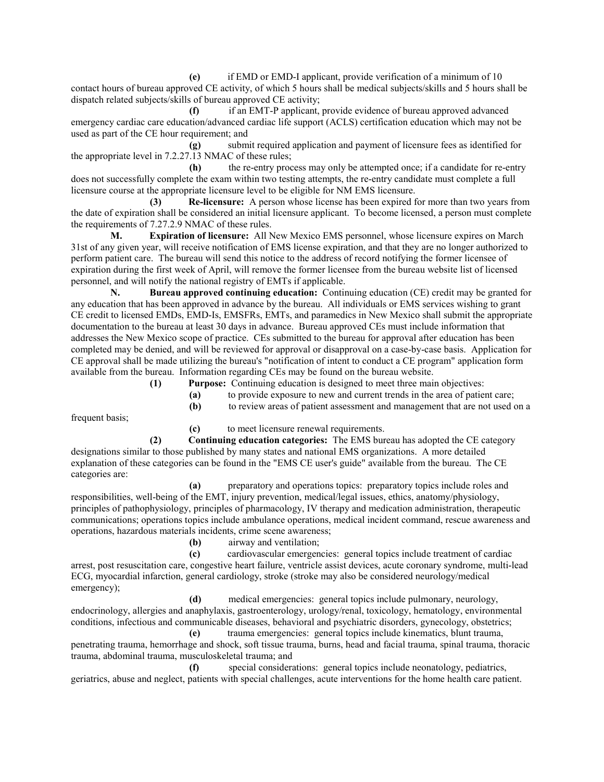**(e)** if EMD or EMD-I applicant, provide verification of a minimum of 10 contact hours of bureau approved CE activity, of which 5 hours shall be medical subjects/skills and 5 hours shall be dispatch related subjects/skills of bureau approved CE activity;

 **(f)** if an EMT-P applicant, provide evidence of bureau approved advanced emergency cardiac care education/advanced cardiac life support (ACLS) certification education which may not be used as part of the CE hour requirement; and

 **(g)** submit required application and payment of licensure fees as identified for the appropriate level in 7.2.27.13 NMAC of these rules;

 **(h)** the re-entry process may only be attempted once; if a candidate for re-entry does not successfully complete the exam within two testing attempts, the re-entry candidate must complete a full licensure course at the appropriate licensure level to be eligible for NM EMS licensure.

 **(3) Re-licensure:** A person whose license has been expired for more than two years from the date of expiration shall be considered an initial licensure applicant. To become licensed, a person must complete the requirements of 7.27.2.9 NMAC of these rules.

 **M. Expiration of licensure:** All New Mexico EMS personnel, whose licensure expires on March 31st of any given year, will receive notification of EMS license expiration, and that they are no longer authorized to perform patient care. The bureau will send this notice to the address of record notifying the former licensee of expiration during the first week of April, will remove the former licensee from the bureau website list of licensed personnel, and will notify the national registry of EMTs if applicable.

 **N. Bureau approved continuing education:** Continuing education (CE) credit may be granted for any education that has been approved in advance by the bureau. All individuals or EMS services wishing to grant CE credit to licensed EMDs, EMD-Is, EMSFRs, EMTs, and paramedics in New Mexico shall submit the appropriate documentation to the bureau at least 30 days in advance. Bureau approved CEs must include information that addresses the New Mexico scope of practice. CEs submitted to the bureau for approval after education has been completed may be denied, and will be reviewed for approval or disapproval on a case-by-case basis. Application for CE approval shall be made utilizing the bureau's "notification of intent to conduct a CE program" application form available from the bureau. Information regarding CEs may be found on the bureau website.

 **(1) Purpose:** Continuing education is designed to meet three main objectives:

- **(a)** to provide exposure to new and current trends in the area of patient care;
- **(b)** to review areas of patient assessment and management that are not used on a

frequent basis;

 **(c)** to meet licensure renewal requirements.

 **(2) Continuing education categories:** The EMS bureau has adopted the CE category designations similar to those published by many states and national EMS organizations. A more detailed explanation of these categories can be found in the "EMS CE user's guide" available from the bureau. The CE categories are:

 **(a)** preparatory and operations topics: preparatory topics include roles and responsibilities, well-being of the EMT, injury prevention, medical/legal issues, ethics, anatomy/physiology, principles of pathophysiology, principles of pharmacology, IV therapy and medication administration, therapeutic communications; operations topics include ambulance operations, medical incident command, rescue awareness and operations, hazardous materials incidents, crime scene awareness;

 **(b)** airway and ventilation;

 **(c)** cardiovascular emergencies: general topics include treatment of cardiac arrest, post resuscitation care, congestive heart failure, ventricle assist devices, acute coronary syndrome, multi-lead ECG, myocardial infarction, general cardiology, stroke (stroke may also be considered neurology/medical emergency);

medical emergencies: general topics include pulmonary, neurology, endocrinology, allergies and anaphylaxis, gastroenterology, urology/renal, toxicology, hematology, environmental conditions, infectious and communicable diseases, behavioral and psychiatric disorders, gynecology, obstetrics;  **(e)** trauma emergencies: general topics include kinematics, blunt trauma,

penetrating trauma, hemorrhage and shock, soft tissue trauma, burns, head and facial trauma, spinal trauma, thoracic trauma, abdominal trauma, musculoskeletal trauma; and

 **(f)** special considerations: general topics include neonatology, pediatrics, geriatrics, abuse and neglect, patients with special challenges, acute interventions for the home health care patient.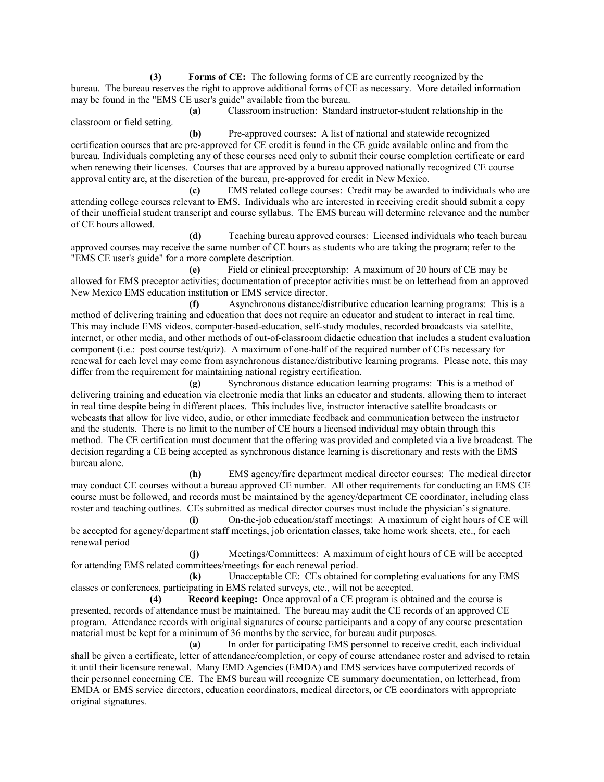**(3) Forms of CE:** The following forms of CE are currently recognized by the bureau. The bureau reserves the right to approve additional forms of CE as necessary. More detailed information may be found in the "EMS CE user's guide" available from the bureau.

 **(a)** Classroom instruction: Standard instructor-student relationship in the classroom or field setting.

 **(b)** Pre-approved courses: A list of national and statewide recognized certification courses that are pre-approved for CE credit is found in the CE guide available online and from the bureau. Individuals completing any of these courses need only to submit their course completion certificate or card when renewing their licenses. Courses that are approved by a bureau approved nationally recognized CE course approval entity are, at the discretion of the bureau, pre-approved for credit in New Mexico.

 **(c)** EMS related college courses: Credit may be awarded to individuals who are attending college courses relevant to EMS. Individuals who are interested in receiving credit should submit a copy of their unofficial student transcript and course syllabus. The EMS bureau will determine relevance and the number of CE hours allowed.

 **(d)** Teaching bureau approved courses: Licensed individuals who teach bureau approved courses may receive the same number of CE hours as students who are taking the program; refer to the "EMS CE user's guide" for a more complete description.

 **(e)** Field or clinical preceptorship: A maximum of 20 hours of CE may be allowed for EMS preceptor activities; documentation of preceptor activities must be on letterhead from an approved New Mexico EMS education institution or EMS service director.

 **(f)** Asynchronous distance/distributive education learning programs: This is a method of delivering training and education that does not require an educator and student to interact in real time. This may include EMS videos, computer-based-education, self-study modules, recorded broadcasts via satellite, internet, or other media, and other methods of out-of-classroom didactic education that includes a student evaluation component (i.e.: post course test/quiz). A maximum of one-half of the required number of CEs necessary for renewal for each level may come from asynchronous distance/distributive learning programs. Please note, this may differ from the requirement for maintaining national registry certification.

 **(g)** Synchronous distance education learning programs: This is a method of delivering training and education via electronic media that links an educator and students, allowing them to interact in real time despite being in different places. This includes live, instructor interactive satellite broadcasts or webcasts that allow for live video, audio, or other immediate feedback and communication between the instructor and the students. There is no limit to the number of CE hours a licensed individual may obtain through this method. The CE certification must document that the offering was provided and completed via a live broadcast. The decision regarding a CE being accepted as synchronous distance learning is discretionary and rests with the EMS bureau alone.

 **(h)** EMS agency/fire department medical director courses: The medical director may conduct CE courses without a bureau approved CE number. All other requirements for conducting an EMS CE course must be followed, and records must be maintained by the agency/department CE coordinator, including class roster and teaching outlines. CEs submitted as medical director courses must include the physician's signature.

 **(i)** On-the-job education/staff meetings: A maximum of eight hours of CE will be accepted for agency/department staff meetings, job orientation classes, take home work sheets, etc., for each renewal period

 **(j)** Meetings/Committees: A maximum of eight hours of CE will be accepted for attending EMS related committees/meetings for each renewal period.

 **(k)** Unacceptable CE: CEs obtained for completing evaluations for any EMS classes or conferences, participating in EMS related surveys, etc., will not be accepted.

 **(4) Record keeping:** Once approval of a CE program is obtained and the course is presented, records of attendance must be maintained. The bureau may audit the CE records of an approved CE program. Attendance records with original signatures of course participants and a copy of any course presentation material must be kept for a minimum of 36 months by the service, for bureau audit purposes.

 **(a)** In order for participating EMS personnel to receive credit, each individual shall be given a certificate, letter of attendance/completion, or copy of course attendance roster and advised to retain it until their licensure renewal. Many EMD Agencies (EMDA) and EMS services have computerized records of their personnel concerning CE. The EMS bureau will recognize CE summary documentation, on letterhead, from EMDA or EMS service directors, education coordinators, medical directors, or CE coordinators with appropriate original signatures.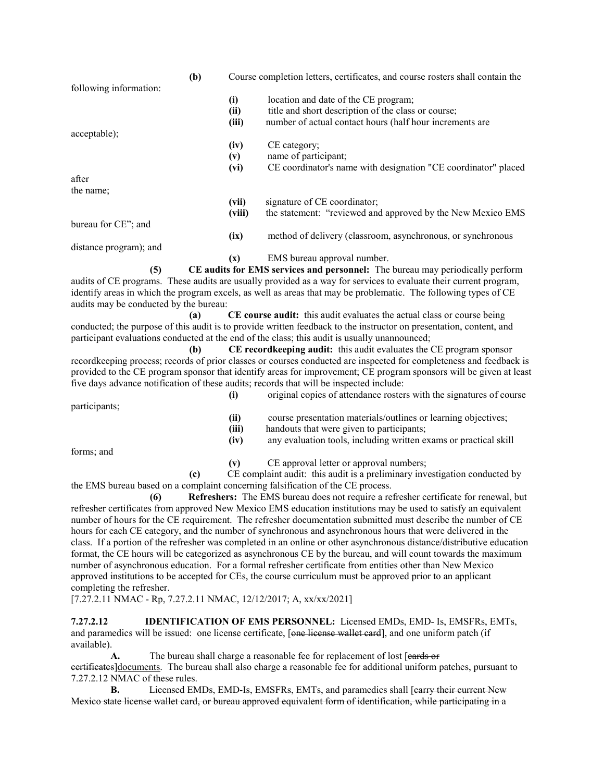|                                                                                                                | (b) | Course completion letters, certificates, and course rosters shall contain the |                                                                                                                                                                                                                                           |
|----------------------------------------------------------------------------------------------------------------|-----|-------------------------------------------------------------------------------|-------------------------------------------------------------------------------------------------------------------------------------------------------------------------------------------------------------------------------------------|
| following information:                                                                                         |     | (i)                                                                           | location and date of the CE program;                                                                                                                                                                                                      |
|                                                                                                                |     | (ii)                                                                          | title and short description of the class or course;                                                                                                                                                                                       |
|                                                                                                                |     | (iii)                                                                         | number of actual contact hours (half hour increments are                                                                                                                                                                                  |
| acceptable);                                                                                                   |     |                                                                               |                                                                                                                                                                                                                                           |
|                                                                                                                |     | (iv)                                                                          | CE category;                                                                                                                                                                                                                              |
|                                                                                                                |     | (v)                                                                           | name of participant;                                                                                                                                                                                                                      |
|                                                                                                                |     | (vi)                                                                          | CE coordinator's name with designation "CE coordinator" placed                                                                                                                                                                            |
| after                                                                                                          |     |                                                                               |                                                                                                                                                                                                                                           |
| the name;                                                                                                      |     |                                                                               |                                                                                                                                                                                                                                           |
|                                                                                                                |     | (vii)                                                                         | signature of CE coordinator;                                                                                                                                                                                                              |
|                                                                                                                |     | (viii)                                                                        | the statement: "reviewed and approved by the New Mexico EMS                                                                                                                                                                               |
| bureau for CE"; and                                                                                            |     |                                                                               |                                                                                                                                                                                                                                           |
|                                                                                                                |     | (ix)                                                                          | method of delivery (classroom, asynchronous, or synchronous                                                                                                                                                                               |
| distance program); and                                                                                         |     |                                                                               |                                                                                                                                                                                                                                           |
|                                                                                                                |     | (x)                                                                           | EMS bureau approval number.                                                                                                                                                                                                               |
| (5)                                                                                                            |     |                                                                               | CE audits for EMS services and personnel: The bureau may periodically perform<br>audits of CE programs. These audits are usually provided as a way for services to evaluate their current program,                                        |
| audits may be conducted by the bureau:                                                                         |     |                                                                               | identify areas in which the program excels, as well as areas that may be problematic. The following types of CE                                                                                                                           |
|                                                                                                                | (a) |                                                                               | CE course audit: this audit evaluates the actual class or course being                                                                                                                                                                    |
|                                                                                                                |     |                                                                               | conducted; the purpose of this audit is to provide written feedback to the instructor on presentation, content, and                                                                                                                       |
|                                                                                                                |     |                                                                               | participant evaluations conducted at the end of the class; this audit is usually unannounced;                                                                                                                                             |
|                                                                                                                | (b) |                                                                               | CE recordkeeping audit: this audit evaluates the CE program sponsor                                                                                                                                                                       |
|                                                                                                                |     |                                                                               | recordkeeping process; records of prior classes or courses conducted are inspected for completeness and feedback is<br>provided to the CE program sponsor that identify areas for improvement; CE program sponsors will be given at least |
|                                                                                                                |     |                                                                               | five days advance notification of these audits; records that will be inspected include:                                                                                                                                                   |
|                                                                                                                |     | (i)                                                                           | original copies of attendance rosters with the signatures of course                                                                                                                                                                       |
| participants;                                                                                                  |     |                                                                               |                                                                                                                                                                                                                                           |
|                                                                                                                |     | (ii)                                                                          | course presentation materials/outlines or learning objectives;                                                                                                                                                                            |
|                                                                                                                |     | (iii)                                                                         | handouts that were given to participants;                                                                                                                                                                                                 |
|                                                                                                                |     | (iv)                                                                          | any evaluation tools, including written exams or practical skill                                                                                                                                                                          |
| forms; and                                                                                                     |     |                                                                               |                                                                                                                                                                                                                                           |
|                                                                                                                |     | (v)                                                                           | CE approval letter or approval numbers;                                                                                                                                                                                                   |
|                                                                                                                | (c) |                                                                               | CE complaint audit: this audit is a preliminary investigation conducted by                                                                                                                                                                |
|                                                                                                                |     |                                                                               | the EMS bureau based on a complaint concerning falsification of the CE process.                                                                                                                                                           |
| (6)                                                                                                            |     |                                                                               | Refreshers: The EMS bureau does not require a refresher certificate for renewal, but<br>refresher certificates from approved New Mexico EMS education institutions may be used to satisfy an equivalent                                   |
|                                                                                                                |     |                                                                               | number of hours for the CE requirement. The refresher documentation submitted must describe the number of CE                                                                                                                              |
|                                                                                                                |     |                                                                               | hours for each CE category, and the number of synchronous and asynchronous hours that were delivered in the                                                                                                                               |
|                                                                                                                |     |                                                                               | class. If a portion of the refresher was completed in an online or other asynchronous distance/distributive education                                                                                                                     |
|                                                                                                                |     |                                                                               | format, the CE hours will be categorized as asynchronous CE by the bureau, and will count towards the maximum                                                                                                                             |
|                                                                                                                |     |                                                                               | number of asynchronous education. For a formal refresher certificate from entities other than New Mexico                                                                                                                                  |
|                                                                                                                |     |                                                                               | approved institutions to be accepted for CEs, the course curriculum must be approved prior to an applicant                                                                                                                                |
| completing the refresher.                                                                                      |     |                                                                               |                                                                                                                                                                                                                                           |
| $[7.27.2.11 \text{ NMAC} - \text{Rp}, 7.27.2.11 \text{ NMAC}, 12/12/2017; \text{A}, \text{xx}/\text{xx}/2021]$ |     |                                                                               |                                                                                                                                                                                                                                           |
| 7.27.2.12                                                                                                      |     |                                                                               | <b>IDENTIFICATION OF EMS PERSONNEL:</b> Licensed EMDs, EMD- Is, EMSFRs, EMTs,                                                                                                                                                             |
|                                                                                                                |     |                                                                               | and paramedics will be issued: one license certificate, [one license wallet eard], and one uniform patch (if                                                                                                                              |

available).

**A.** The bureau shall charge a reasonable fee for replacement of lost [eards or eertificates]documents. The bureau shall also charge a reasonable fee for additional uniform patches, pursuant to 7.27.2.12 NMAC of these rules.

**B.** Licensed EMDs, EMD-Is, EMSFRs, EMTs, and paramedics shall [earry their current New Mexico state license wallet card, or bureau approved equivalent form of identification, while participating in a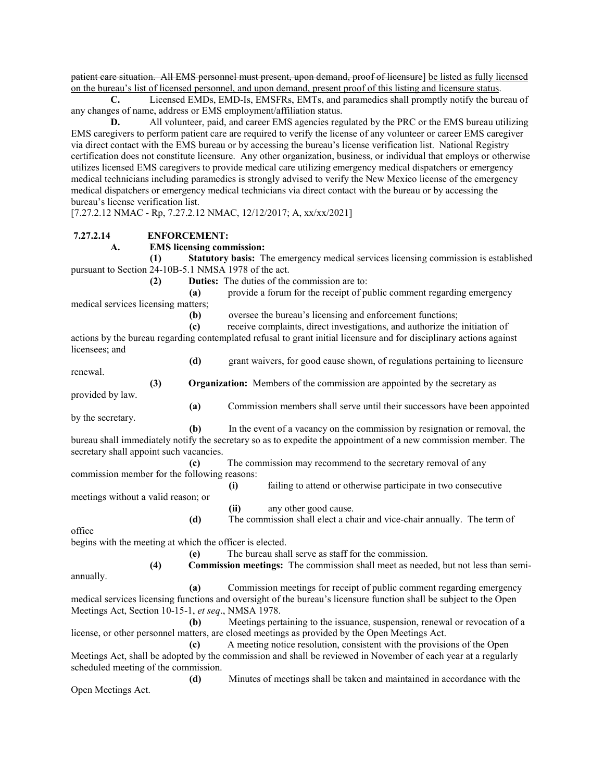patient care situation. All EMS personnel must present, upon demand, proof of licensure] be listed as fully licensed on the bureau's list of licensed personnel, and upon demand, present proof of this listing and licensure status.

 **C.** Licensed EMDs, EMD-Is, EMSFRs, EMTs, and paramedics shall promptly notify the bureau of any changes of name, address or EMS employment/affiliation status.

**D.** All volunteer, paid, and career EMS agencies regulated by the PRC or the EMS bureau utilizing EMS caregivers to perform patient care are required to verify the license of any volunteer or career EMS caregiver via direct contact with the EMS bureau or by accessing the bureau's license verification list. National Registry certification does not constitute licensure. Any other organization, business, or individual that employs or otherwise utilizes licensed EMS caregivers to provide medical care utilizing emergency medical dispatchers or emergency medical technicians including paramedics is strongly advised to verify the New Mexico license of the emergency medical dispatchers or emergency medical technicians via direct contact with the bureau or by accessing the bureau's license verification list.

[7.27.2.12 NMAC - Rp, 7.27.2.12 NMAC, 12/12/2017; A, xx/xx/2021]

## **7.27.2.14 ENFORCEMENT:**

## **A. EMS licensing commission:**

 **(1) Statutory basis:** The emergency medical services licensing commission is established pursuant to Section 24-10B-5.1 NMSA 1978 of the act.

 **(2) Duties:** The duties of the commission are to:

 **(a)** provide a forum for the receipt of public comment regarding emergency medical services licensing matters;

 **(b)** oversee the bureau's licensing and enforcement functions;

 **(c)** receive complaints, direct investigations, and authorize the initiation of actions by the bureau regarding contemplated refusal to grant initial licensure and for disciplinary actions against

licensees; and

 **(d)** grant waivers, for good cause shown, of regulations pertaining to licensure renewal.

 **(3) Organization:** Members of the commission are appointed by the secretary as

provided by law.  **(a)** Commission members shall serve until their successors have been appointed by the secretary.

 **(b)** In the event of a vacancy on the commission by resignation or removal, the bureau shall immediately notify the secretary so as to expedite the appointment of a new commission member. The secretary shall appoint such vacancies.

 **(c)** The commission may recommend to the secretary removal of any commission member for the following reasons:

 **(i)** failing to attend or otherwise participate in two consecutive meetings without a valid reason; or

 **(ii)** any other good cause.

 **(d)** The commission shall elect a chair and vice-chair annually. The term of office

begins with the meeting at which the officer is elected.

 **(e)** The bureau shall serve as staff for the commission.

 **(4) Commission meetings:** The commission shall meet as needed, but not less than semiannually.

 **(a)** Commission meetings for receipt of public comment regarding emergency medical services licensing functions and oversight of the bureau's licensure function shall be subject to the Open Meetings Act, Section 10-15-1, *et seq*., NMSA 1978.

 **(b)** Meetings pertaining to the issuance, suspension, renewal or revocation of a license, or other personnel matters, are closed meetings as provided by the Open Meetings Act.

 **(c)** A meeting notice resolution, consistent with the provisions of the Open Meetings Act, shall be adopted by the commission and shall be reviewed in November of each year at a regularly scheduled meeting of the commission.

 **(d)** Minutes of meetings shall be taken and maintained in accordance with the Open Meetings Act.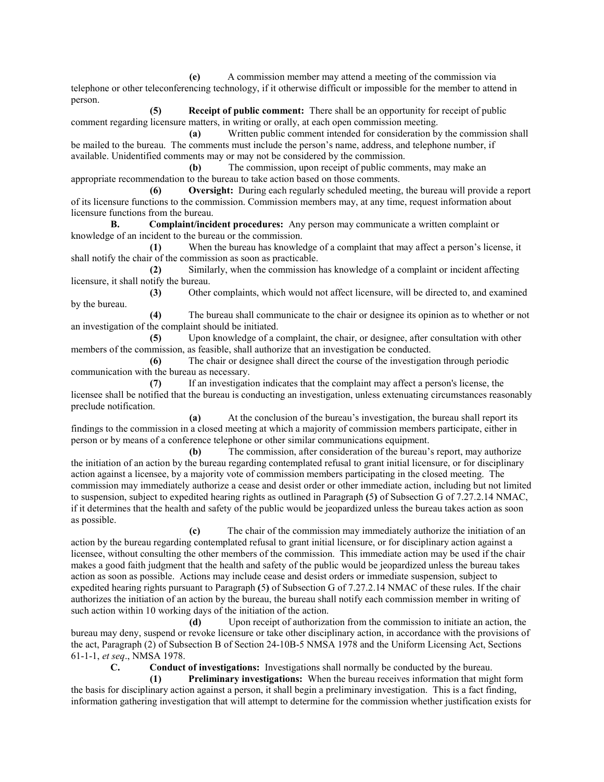**(e)** A commission member may attend a meeting of the commission via telephone or other teleconferencing technology, if it otherwise difficult or impossible for the member to attend in person.

 **(5) Receipt of public comment:** There shall be an opportunity for receipt of public comment regarding licensure matters, in writing or orally, at each open commission meeting.

 **(a)** Written public comment intended for consideration by the commission shall be mailed to the bureau. The comments must include the person's name, address, and telephone number, if available. Unidentified comments may or may not be considered by the commission.

 **(b)** The commission, upon receipt of public comments, may make an appropriate recommendation to the bureau to take action based on those comments.

 **(6) Oversight:** During each regularly scheduled meeting, the bureau will provide a report of its licensure functions to the commission. Commission members may, at any time, request information about licensure functions from the bureau.

 **B. Complaint/incident procedures:** Any person may communicate a written complaint or knowledge of an incident to the bureau or the commission.

 **(1)** When the bureau has knowledge of a complaint that may affect a person's license, it shall notify the chair of the commission as soon as practicable.

 **(2)** Similarly, when the commission has knowledge of a complaint or incident affecting licensure, it shall notify the bureau.

 **(3)** Other complaints, which would not affect licensure, will be directed to, and examined by the bureau.

 **(4)** The bureau shall communicate to the chair or designee its opinion as to whether or not an investigation of the complaint should be initiated.

 **(5)** Upon knowledge of a complaint, the chair, or designee, after consultation with other members of the commission, as feasible, shall authorize that an investigation be conducted.

 **(6)** The chair or designee shall direct the course of the investigation through periodic communication with the bureau as necessary.

 **(7)** If an investigation indicates that the complaint may affect a person's license, the licensee shall be notified that the bureau is conducting an investigation, unless extenuating circumstances reasonably preclude notification.

 **(a)** At the conclusion of the bureau's investigation, the bureau shall report its findings to the commission in a closed meeting at which a majority of commission members participate, either in person or by means of a conference telephone or other similar communications equipment.

 **(b)** The commission, after consideration of the bureau's report, may authorize the initiation of an action by the bureau regarding contemplated refusal to grant initial licensure, or for disciplinary action against a licensee, by a majority vote of commission members participating in the closed meeting. The commission may immediately authorize a cease and desist order or other immediate action, including but not limited to suspension, subject to expedited hearing rights as outlined in Paragraph **(**5**)** of Subsection G of 7.27.2.14 NMAC, if it determines that the health and safety of the public would be jeopardized unless the bureau takes action as soon as possible.

 **(c)** The chair of the commission may immediately authorize the initiation of an action by the bureau regarding contemplated refusal to grant initial licensure, or for disciplinary action against a licensee, without consulting the other members of the commission. This immediate action may be used if the chair makes a good faith judgment that the health and safety of the public would be jeopardized unless the bureau takes action as soon as possible. Actions may include cease and desist orders or immediate suspension, subject to expedited hearing rights pursuant to Paragraph **(**5**)** of Subsection G of 7.27.2.14 NMAC of these rules. If the chair authorizes the initiation of an action by the bureau, the bureau shall notify each commission member in writing of such action within 10 working days of the initiation of the action.

 **(d)** Upon receipt of authorization from the commission to initiate an action, the bureau may deny, suspend or revoke licensure or take other disciplinary action, in accordance with the provisions of the act, Paragraph (2) of Subsection B of Section 24-10B-5 NMSA 1978 and the Uniform Licensing Act, Sections 61-1-1, *et seq*., NMSA 1978.

 **C. Conduct of investigations:** Investigations shall normally be conducted by the bureau.

 **(1) Preliminary investigations:** When the bureau receives information that might form the basis for disciplinary action against a person, it shall begin a preliminary investigation. This is a fact finding, information gathering investigation that will attempt to determine for the commission whether justification exists for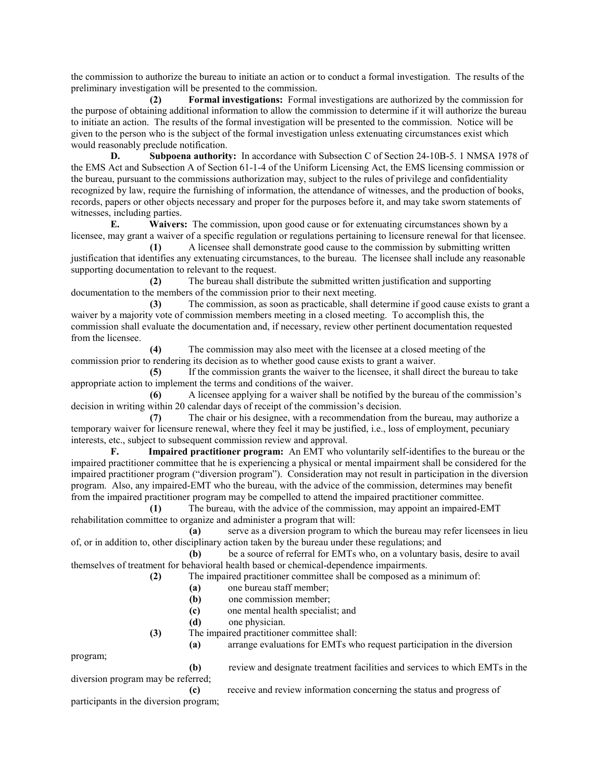the commission to authorize the bureau to initiate an action or to conduct a formal investigation. The results of the preliminary investigation will be presented to the commission.

 **(2) Formal investigations:** Formal investigations are authorized by the commission for the purpose of obtaining additional information to allow the commission to determine if it will authorize the bureau to initiate an action. The results of the formal investigation will be presented to the commission. Notice will be given to the person who is the subject of the formal investigation unless extenuating circumstances exist which would reasonably preclude notification.

**D.** Subpoena authority: In accordance with Subsection C of Section 24-10B-5. 1 NMSA 1978 of the EMS Act and Subsection A of Section 61-1-4 of the Uniform Licensing Act, the EMS licensing commission or the bureau, pursuant to the commissions authorization may, subject to the rules of privilege and confidentiality recognized by law, require the furnishing of information, the attendance of witnesses, and the production of books, records, papers or other objects necessary and proper for the purposes before it, and may take sworn statements of witnesses, including parties.

 **E. Waivers:** The commission, upon good cause or for extenuating circumstances shown by a licensee, may grant a waiver of a specific regulation or regulations pertaining to licensure renewal for that licensee.

 **(1)** A licensee shall demonstrate good cause to the commission by submitting written justification that identifies any extenuating circumstances, to the bureau. The licensee shall include any reasonable supporting documentation to relevant to the request.

 **(2)** The bureau shall distribute the submitted written justification and supporting documentation to the members of the commission prior to their next meeting.

 **(3)** The commission, as soon as practicable, shall determine if good cause exists to grant a waiver by a majority vote of commission members meeting in a closed meeting. To accomplish this, the commission shall evaluate the documentation and, if necessary, review other pertinent documentation requested from the licensee.

 **(4)** The commission may also meet with the licensee at a closed meeting of the commission prior to rendering its decision as to whether good cause exists to grant a waiver.

 **(5)** If the commission grants the waiver to the licensee, it shall direct the bureau to take appropriate action to implement the terms and conditions of the waiver.

 **(6)** A licensee applying for a waiver shall be notified by the bureau of the commission's decision in writing within 20 calendar days of receipt of the commission's decision.

 **(7)** The chair or his designee, with a recommendation from the bureau, may authorize a temporary waiver for licensure renewal, where they feel it may be justified, i.e., loss of employment, pecuniary interests, etc., subject to subsequent commission review and approval.

 **F. Impaired practitioner program:** An EMT who voluntarily self-identifies to the bureau or the impaired practitioner committee that he is experiencing a physical or mental impairment shall be considered for the impaired practitioner program ("diversion program"). Consideration may not result in participation in the diversion program. Also, any impaired-EMT who the bureau, with the advice of the commission, determines may benefit from the impaired practitioner program may be compelled to attend the impaired practitioner committee.

 **(1)** The bureau, with the advice of the commission, may appoint an impaired-EMT rehabilitation committee to organize and administer a program that will:

 **(a)** serve as a diversion program to which the bureau may refer licensees in lieu of, or in addition to, other disciplinary action taken by the bureau under these regulations; and

 **(b)** be a source of referral for EMTs who, on a voluntary basis, desire to avail themselves of treatment for behavioral health based or chemical-dependence impairments.

 **(2)** The impaired practitioner committee shall be composed as a minimum of:

- **(a)** one bureau staff member;
- **(b)** one commission member;

**(c)** one mental health specialist; and

 **(d)** one physician.

 **(3)** The impaired practitioner committee shall:

 **(a)** arrange evaluations for EMTs who request participation in the diversion

program;

 **(b)** review and designate treatment facilities and services to which EMTs in the diversion program may be referred;

 **(c)** receive and review information concerning the status and progress of participants in the diversion program;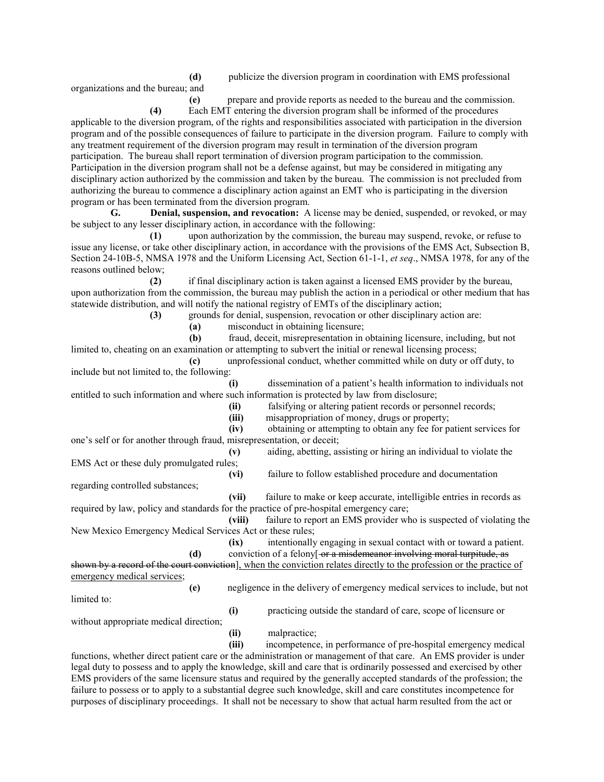**(d)** publicize the diversion program in coordination with EMS professional

organizations and the bureau; and

 **(e)** prepare and provide reports as needed to the bureau and the commission.

 **(4)** Each EMT entering the diversion program shall be informed of the procedures applicable to the diversion program, of the rights and responsibilities associated with participation in the diversion program and of the possible consequences of failure to participate in the diversion program. Failure to comply with any treatment requirement of the diversion program may result in termination of the diversion program participation. The bureau shall report termination of diversion program participation to the commission. Participation in the diversion program shall not be a defense against, but may be considered in mitigating any disciplinary action authorized by the commission and taken by the bureau. The commission is not precluded from authorizing the bureau to commence a disciplinary action against an EMT who is participating in the diversion program or has been terminated from the diversion program.

 **G. Denial, suspension, and revocation:** A license may be denied, suspended, or revoked, or may be subject to any lesser disciplinary action, in accordance with the following:

 **(1)** upon authorization by the commission, the bureau may suspend, revoke, or refuse to issue any license, or take other disciplinary action, in accordance with the provisions of the EMS Act, Subsection B, Section 24-10B-5, NMSA 1978 and the Uniform Licensing Act, Section 61-1-1, *et seq*., NMSA 1978, for any of the reasons outlined below;

 **(2)** if final disciplinary action is taken against a licensed EMS provider by the bureau, upon authorization from the commission, the bureau may publish the action in a periodical or other medium that has statewide distribution, and will notify the national registry of EMTs of the disciplinary action;

 **(3)** grounds for denial, suspension, revocation or other disciplinary action are:

 **(a)** misconduct in obtaining licensure;

 **(b)** fraud, deceit, misrepresentation in obtaining licensure, including, but not limited to, cheating on an examination or attempting to subvert the initial or renewal licensing process;

 **(c)** unprofessional conduct, whether committed while on duty or off duty, to include but not limited to, the following:

 **(i)** dissemination of a patient's health information to individuals not entitled to such information and where such information is protected by law from disclosure;

 **(ii)** falsifying or altering patient records or personnel records;

 **(iii)** misappropriation of money, drugs or property;

 **(iv)** obtaining or attempting to obtain any fee for patient services for one's self or for another through fraud, misrepresentation, or deceit;

 **(v)** aiding, abetting, assisting or hiring an individual to violate the EMS Act or these duly promulgated rules;

 **(vi)** failure to follow established procedure and documentation regarding controlled substances;

 **(vii)** failure to make or keep accurate, intelligible entries in records as required by law, policy and standards for the practice of pre-hospital emergency care;

 **(viii)** failure to report an EMS provider who is suspected of violating the New Mexico Emergency Medical Services Act or these rules;

 **(ix)** intentionally engaging in sexual contact with or toward a patient. **(d)** conviction of a felony[-or a misdemeanor involving moral turpitude, as

shown by a record of the court conviction], when the conviction relates directly to the profession or the practice of emergency medical services;

limited to:

 **(e)** negligence in the delivery of emergency medical services to include, but not

 **(i)** practicing outside the standard of care, scope of licensure or

without appropriate medical direction;

 **(ii)** malpractice;

**(iii)** incompetence, in performance of pre-hospital emergency medical functions, whether direct patient care or the administration or management of that care. An EMS provider is under legal duty to possess and to apply the knowledge, skill and care that is ordinarily possessed and exercised by other EMS providers of the same licensure status and required by the generally accepted standards of the profession; the failure to possess or to apply to a substantial degree such knowledge, skill and care constitutes incompetence for purposes of disciplinary proceedings. It shall not be necessary to show that actual harm resulted from the act or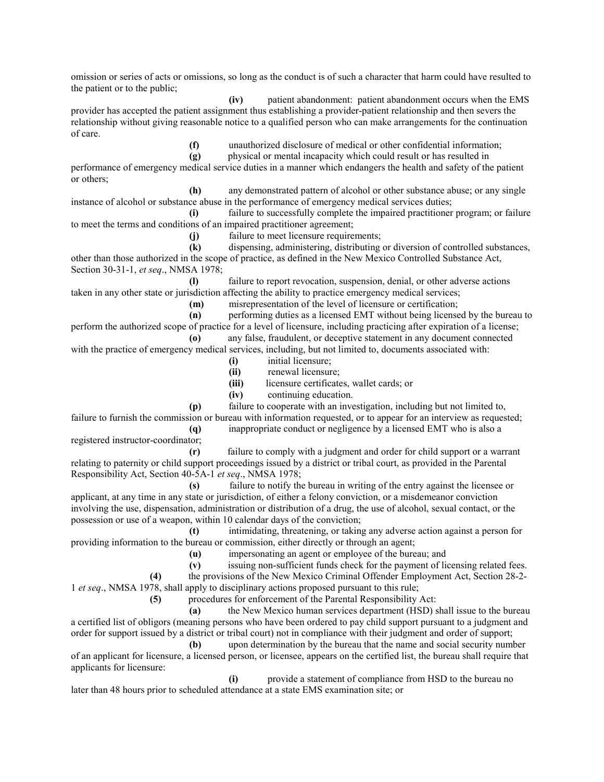omission or series of acts or omissions, so long as the conduct is of such a character that harm could have resulted to the patient or to the public;

 **(iv)** patient abandonment: patient abandonment occurs when the EMS provider has accepted the patient assignment thus establishing a provider-patient relationship and then severs the relationship without giving reasonable notice to a qualified person who can make arrangements for the continuation of care.

 **(f)** unauthorized disclosure of medical or other confidential information;

**(g)** bhysical or mental incapacity which could result or has resulted in

performance of emergency medical service duties in a manner which endangers the health and safety of the patient or others;

 **(h)** any demonstrated pattern of alcohol or other substance abuse; or any single instance of alcohol or substance abuse in the performance of emergency medical services duties;

failure to successfully complete the impaired practitioner program; or failure to meet the terms and conditions of an impaired practitioner agreement;

 **(j)** failure to meet licensure requirements;

**(k)** dispensing, administering, distributing or diversion of controlled substances, other than those authorized in the scope of practice, as defined in the New Mexico Controlled Substance Act, Section 30-31-1, *et seq*., NMSA 1978;

 **(l)** failure to report revocation, suspension, denial, or other adverse actions taken in any other state or jurisdiction affecting the ability to practice emergency medical services;

 **(m)** misrepresentation of the level of licensure or certification;

 **(n)** performing duties as a licensed EMT without being licensed by the bureau to perform the authorized scope of practice for a level of licensure, including practicing after expiration of a license;  **(o)** any false, fraudulent, or deceptive statement in any document connected

with the practice of emergency medical services, including, but not limited to, documents associated with:

- **(i)** initial licensure;
- **(ii)** renewal licensure;
- **(iii)** licensure certificates, wallet cards; or

 **(iv)** continuing education.

 **(p)** failure to cooperate with an investigation, including but not limited to, failure to furnish the commission or bureau with information requested, or to appear for an interview as requested;

 **(q)** inappropriate conduct or negligence by a licensed EMT who is also a

 **(r)** failure to comply with a judgment and order for child support or a warrant relating to paternity or child support proceedings issued by a district or tribal court, as provided in the Parental Responsibility Act, Section 40-5A-1 *et seq*., NMSA 1978;

 **(s)** failure to notify the bureau in writing of the entry against the licensee or applicant, at any time in any state or jurisdiction, of either a felony conviction, or a misdemeanor conviction involving the use, dispensation, administration or distribution of a drug, the use of alcohol, sexual contact, or the possession or use of a weapon, within 10 calendar days of the conviction;

 **(t)** intimidating, threatening, or taking any adverse action against a person for providing information to the bureau or commission, either directly or through an agent;

 **(u)** impersonating an agent or employee of the bureau; and

**(v)** issuing non-sufficient funds check for the payment of licensing related fees.

 **(4)** the provisions of the New Mexico Criminal Offender Employment Act, Section 28-2-

1 *et seq*., NMSA 1978, shall apply to disciplinary actions proposed pursuant to this rule;

registered instructor-coordinator;

 **(5)** procedures for enforcement of the Parental Responsibility Act:

 **(a)** the New Mexico human services department (HSD) shall issue to the bureau a certified list of obligors (meaning persons who have been ordered to pay child support pursuant to a judgment and order for support issued by a district or tribal court) not in compliance with their judgment and order of support;

 **(b)** upon determination by the bureau that the name and social security number of an applicant for licensure, a licensed person, or licensee, appears on the certified list, the bureau shall require that applicants for licensure:

 **(i)** provide a statement of compliance from HSD to the bureau no later than 48 hours prior to scheduled attendance at a state EMS examination site; or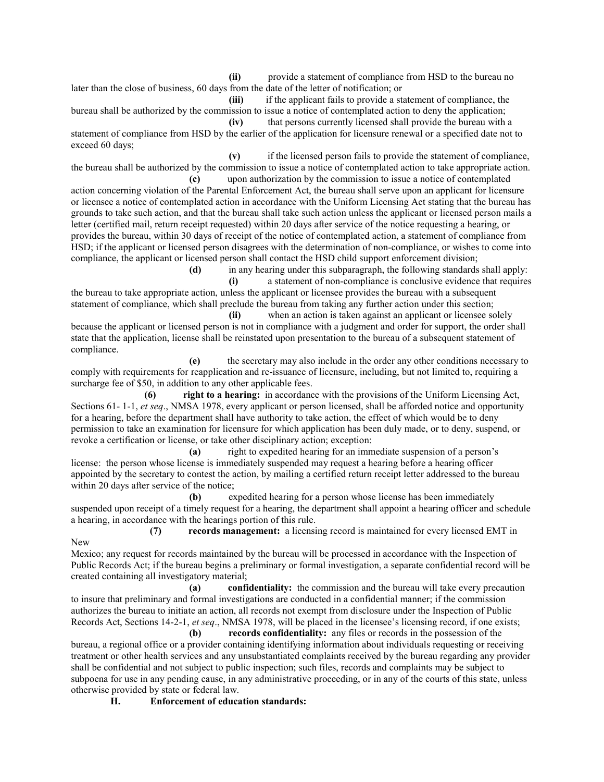**(ii)** provide a statement of compliance from HSD to the bureau no later than the close of business, 60 days from the date of the letter of notification; or

 **(iii)** if the applicant fails to provide a statement of compliance, the bureau shall be authorized by the commission to issue a notice of contemplated action to deny the application;  **(iv)** that persons currently licensed shall provide the bureau with a

statement of compliance from HSD by the earlier of the application for licensure renewal or a specified date not to exceed 60 days;

 **(v)** if the licensed person fails to provide the statement of compliance, the bureau shall be authorized by the commission to issue a notice of contemplated action to take appropriate action.  **(c)** upon authorization by the commission to issue a notice of contemplated

action concerning violation of the Parental Enforcement Act, the bureau shall serve upon an applicant for licensure or licensee a notice of contemplated action in accordance with the Uniform Licensing Act stating that the bureau has grounds to take such action, and that the bureau shall take such action unless the applicant or licensed person mails a letter (certified mail, return receipt requested) within 20 days after service of the notice requesting a hearing, or provides the bureau, within 30 days of receipt of the notice of contemplated action, a statement of compliance from HSD; if the applicant or licensed person disagrees with the determination of non-compliance, or wishes to come into compliance, the applicant or licensed person shall contact the HSD child support enforcement division;

 **(d)** in any hearing under this subparagraph, the following standards shall apply:  **(i)** a statement of non-compliance is conclusive evidence that requires the bureau to take appropriate action, unless the applicant or licensee provides the bureau with a subsequent statement of compliance, which shall preclude the bureau from taking any further action under this section;

 **(ii)** when an action is taken against an applicant or licensee solely because the applicant or licensed person is not in compliance with a judgment and order for support, the order shall state that the application, license shall be reinstated upon presentation to the bureau of a subsequent statement of compliance.

 **(e)** the secretary may also include in the order any other conditions necessary to comply with requirements for reapplication and re-issuance of licensure, including, but not limited to, requiring a surcharge fee of \$50, in addition to any other applicable fees.

 **(6) right to a hearing:** in accordance with the provisions of the Uniform Licensing Act, Sections 61- 1-1, *et seq*., NMSA 1978, every applicant or person licensed, shall be afforded notice and opportunity for a hearing, before the department shall have authority to take action, the effect of which would be to deny permission to take an examination for licensure for which application has been duly made, or to deny, suspend, or revoke a certification or license, or take other disciplinary action; exception:

 **(a)** right to expedited hearing for an immediate suspension of a person's license: the person whose license is immediately suspended may request a hearing before a hearing officer appointed by the secretary to contest the action, by mailing a certified return receipt letter addressed to the bureau within 20 days after service of the notice;

 **(b)** expedited hearing for a person whose license has been immediately suspended upon receipt of a timely request for a hearing, the department shall appoint a hearing officer and schedule a hearing, in accordance with the hearings portion of this rule.

 **(7) records management:** a licensing record is maintained for every licensed EMT in New

Mexico; any request for records maintained by the bureau will be processed in accordance with the Inspection of Public Records Act; if the bureau begins a preliminary or formal investigation, a separate confidential record will be created containing all investigatory material;

 **(a) confidentiality:** the commission and the bureau will take every precaution to insure that preliminary and formal investigations are conducted in a confidential manner; if the commission authorizes the bureau to initiate an action, all records not exempt from disclosure under the Inspection of Public Records Act, Sections 14-2-1, *et seq*., NMSA 1978, will be placed in the licensee's licensing record, if one exists;

 **(b) records confidentiality:** any files or records in the possession of the bureau, a regional office or a provider containing identifying information about individuals requesting or receiving treatment or other health services and any unsubstantiated complaints received by the bureau regarding any provider shall be confidential and not subject to public inspection; such files, records and complaints may be subject to subpoena for use in any pending cause, in any administrative proceeding, or in any of the courts of this state, unless otherwise provided by state or federal law.

 **H. Enforcement of education standards:**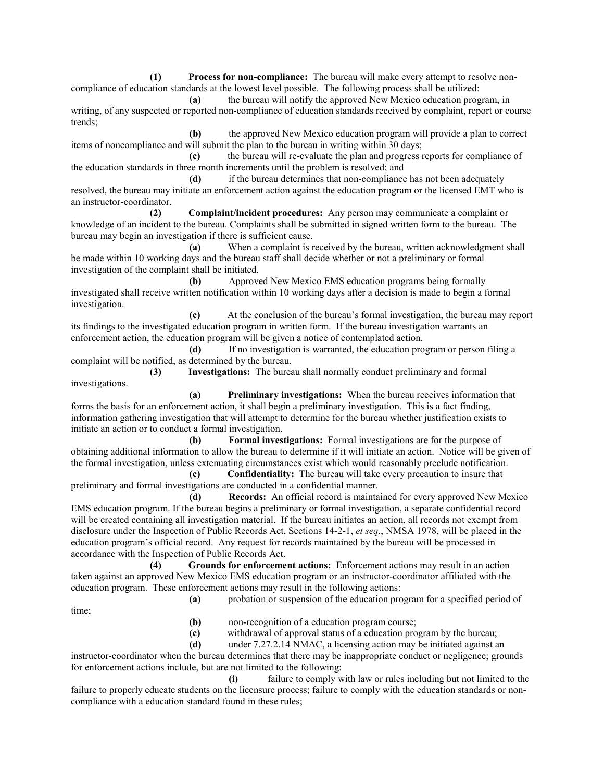**(1) Process for non-compliance:** The bureau will make every attempt to resolve noncompliance of education standards at the lowest level possible. The following process shall be utilized:

 **(a)** the bureau will notify the approved New Mexico education program, in writing, of any suspected or reported non-compliance of education standards received by complaint, report or course trends;

 **(b)** the approved New Mexico education program will provide a plan to correct items of noncompliance and will submit the plan to the bureau in writing within 30 days;

 **(c)** the bureau will re-evaluate the plan and progress reports for compliance of the education standards in three month increments until the problem is resolved; and

 **(d)** if the bureau determines that non-compliance has not been adequately resolved, the bureau may initiate an enforcement action against the education program or the licensed EMT who is an instructor-coordinator.

 **(2) Complaint/incident procedures:** Any person may communicate a complaint or knowledge of an incident to the bureau. Complaints shall be submitted in signed written form to the bureau. The bureau may begin an investigation if there is sufficient cause.

 **(a)** When a complaint is received by the bureau, written acknowledgment shall be made within 10 working days and the bureau staff shall decide whether or not a preliminary or formal investigation of the complaint shall be initiated.

 **(b)** Approved New Mexico EMS education programs being formally investigated shall receive written notification within 10 working days after a decision is made to begin a formal investigation.

 **(c)** At the conclusion of the bureau's formal investigation, the bureau may report its findings to the investigated education program in written form. If the bureau investigation warrants an enforcement action, the education program will be given a notice of contemplated action.

 **(d)** If no investigation is warranted, the education program or person filing a complaint will be notified, as determined by the bureau.

 **(3) Investigations:** The bureau shall normally conduct preliminary and formal investigations.

 **(a) Preliminary investigations:** When the bureau receives information that forms the basis for an enforcement action, it shall begin a preliminary investigation. This is a fact finding, information gathering investigation that will attempt to determine for the bureau whether justification exists to initiate an action or to conduct a formal investigation.

 **(b) Formal investigations:** Formal investigations are for the purpose of obtaining additional information to allow the bureau to determine if it will initiate an action. Notice will be given of the formal investigation, unless extenuating circumstances exist which would reasonably preclude notification.

 **(c) Confidentiality:** The bureau will take every precaution to insure that preliminary and formal investigations are conducted in a confidential manner.

 **(d) Records:** An official record is maintained for every approved New Mexico EMS education program. If the bureau begins a preliminary or formal investigation, a separate confidential record will be created containing all investigation material. If the bureau initiates an action, all records not exempt from disclosure under the Inspection of Public Records Act, Sections 14-2-1, *et seq*., NMSA 1978, will be placed in the education program's official record. Any request for records maintained by the bureau will be processed in accordance with the Inspection of Public Records Act.

 **(4) Grounds for enforcement actions:** Enforcement actions may result in an action taken against an approved New Mexico EMS education program or an instructor-coordinator affiliated with the education program. These enforcement actions may result in the following actions:

 **(a)** probation or suspension of the education program for a specified period of

time;

 **(b)** non-recognition of a education program course;

 **(c)** withdrawal of approval status of a education program by the bureau;

 **(d)** under 7.27.2.14 NMAC, a licensing action may be initiated against an

instructor-coordinator when the bureau determines that there may be inappropriate conduct or negligence; grounds for enforcement actions include, but are not limited to the following:

 **(i)** failure to comply with law or rules including but not limited to the failure to properly educate students on the licensure process; failure to comply with the education standards or noncompliance with a education standard found in these rules;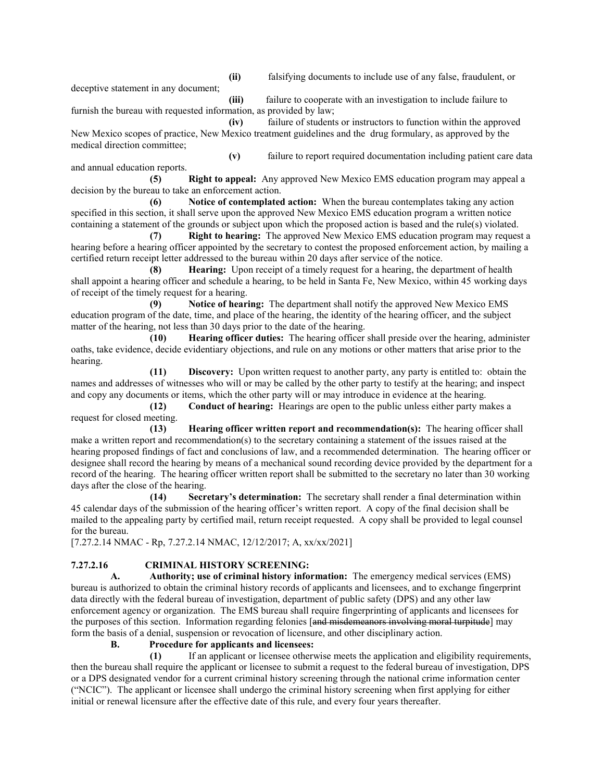**(ii)** falsifying documents to include use of any false, fraudulent, or deceptive statement in any document;  **(iii)** failure to cooperate with an investigation to include failure to

furnish the bureau with requested information, as provided by law;  **(iv)** failure of students or instructors to function within the approved

New Mexico scopes of practice, New Mexico treatment guidelines and the drug formulary, as approved by the medical direction committee;

 **(v)** failure to report required documentation including patient care data and annual education reports.  **(5) Right to appeal:** Any approved New Mexico EMS education program may appeal a

decision by the bureau to take an enforcement action.

 **(6) Notice of contemplated action:** When the bureau contemplates taking any action specified in this section, it shall serve upon the approved New Mexico EMS education program a written notice containing a statement of the grounds or subject upon which the proposed action is based and the rule(s) violated.

 **(7) Right to hearing:** The approved New Mexico EMS education program may request a hearing before a hearing officer appointed by the secretary to contest the proposed enforcement action, by mailing a certified return receipt letter addressed to the bureau within 20 days after service of the notice.

 **(8) Hearing:** Upon receipt of a timely request for a hearing, the department of health shall appoint a hearing officer and schedule a hearing, to be held in Santa Fe, New Mexico, within 45 working days of receipt of the timely request for a hearing.

 **(9) Notice of hearing:** The department shall notify the approved New Mexico EMS education program of the date, time, and place of the hearing, the identity of the hearing officer, and the subject matter of the hearing, not less than 30 days prior to the date of the hearing.

 **(10) Hearing officer duties:** The hearing officer shall preside over the hearing, administer oaths, take evidence, decide evidentiary objections, and rule on any motions or other matters that arise prior to the hearing.

 **(11) Discovery:** Upon written request to another party, any party is entitled to: obtain the names and addresses of witnesses who will or may be called by the other party to testify at the hearing; and inspect and copy any documents or items, which the other party will or may introduce in evidence at the hearing.

 **(12) Conduct of hearing:** Hearings are open to the public unless either party makes a request for closed meeting.

 **(13) Hearing officer written report and recommendation(s):** The hearing officer shall make a written report and recommendation(s) to the secretary containing a statement of the issues raised at the hearing proposed findings of fact and conclusions of law, and a recommended determination. The hearing officer or designee shall record the hearing by means of a mechanical sound recording device provided by the department for a record of the hearing. The hearing officer written report shall be submitted to the secretary no later than 30 working days after the close of the hearing.

 **(14) Secretary's determination:** The secretary shall render a final determination within 45 calendar days of the submission of the hearing officer's written report. A copy of the final decision shall be mailed to the appealing party by certified mail, return receipt requested. A copy shall be provided to legal counsel for the bureau.

[7.27.2.14 NMAC - Rp, 7.27.2.14 NMAC, 12/12/2017; A, xx/xx/2021]

## **7.27.2.16 CRIMINAL HISTORY SCREENING:**

 **A. Authority; use of criminal history information:** The emergency medical services (EMS) bureau is authorized to obtain the criminal history records of applicants and licensees, and to exchange fingerprint data directly with the federal bureau of investigation, department of public safety (DPS) and any other law enforcement agency or organization. The EMS bureau shall require fingerprinting of applicants and licensees for the purposes of this section. Information regarding felonies [and misdemeanors involving moral turpitude] may form the basis of a denial, suspension or revocation of licensure, and other disciplinary action.

 **B. Procedure for applicants and licensees:**

 **(1)** If an applicant or licensee otherwise meets the application and eligibility requirements, then the bureau shall require the applicant or licensee to submit a request to the federal bureau of investigation, DPS or a DPS designated vendor for a current criminal history screening through the national crime information center ("NCIC"). The applicant or licensee shall undergo the criminal history screening when first applying for either initial or renewal licensure after the effective date of this rule, and every four years thereafter.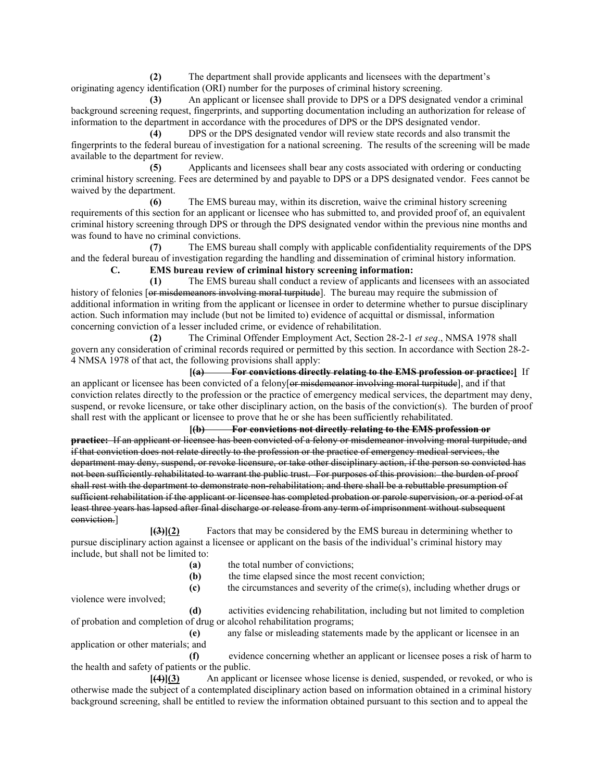**(2)** The department shall provide applicants and licensees with the department's originating agency identification (ORI) number for the purposes of criminal history screening.

 **(3)** An applicant or licensee shall provide to DPS or a DPS designated vendor a criminal background screening request, fingerprints, and supporting documentation including an authorization for release of information to the department in accordance with the procedures of DPS or the DPS designated vendor.

 **(4)** DPS or the DPS designated vendor will review state records and also transmit the fingerprints to the federal bureau of investigation for a national screening. The results of the screening will be made available to the department for review.

 **(5)** Applicants and licensees shall bear any costs associated with ordering or conducting criminal history screening. Fees are determined by and payable to DPS or a DPS designated vendor. Fees cannot be waived by the department.

 **(6)** The EMS bureau may, within its discretion, waive the criminal history screening requirements of this section for an applicant or licensee who has submitted to, and provided proof of, an equivalent criminal history screening through DPS or through the DPS designated vendor within the previous nine months and was found to have no criminal convictions.

 **(7)** The EMS bureau shall comply with applicable confidentiality requirements of the DPS and the federal bureau of investigation regarding the handling and dissemination of criminal history information.  **C. EMS bureau review of criminal history screening information:**

 **(1)** The EMS bureau shall conduct a review of applicants and licensees with an associated history of felonies [or misdemeanors involving moral turpitude]. The bureau may require the submission of additional information in writing from the applicant or licensee in order to determine whether to pursue disciplinary action. Such information may include (but not be limited to) evidence of acquittal or dismissal, information concerning conviction of a lesser included crime, or evidence of rehabilitation.

 **(2)** The Criminal Offender Employment Act, Section 28-2-1 *et seq*., NMSA 1978 shall govern any consideration of criminal records required or permitted by this section. In accordance with Section 28-2- 4 NMSA 1978 of that act, the following provisions shall apply:

 **[(a) For convictions directly relating to the EMS profession or practice:]** If an applicant or licensee has been convicted of a felony of misdemeanor involving moral turpitude], and if that conviction relates directly to the profession or the practice of emergency medical services, the department may deny, suspend, or revoke licensure, or take other disciplinary action, on the basis of the conviction(s). The burden of proof shall rest with the applicant or licensee to prove that he or she has been sufficiently rehabilitated.

 **[(b) For convictions not directly relating to the EMS profession or practice:** If an applicant or licensee has been convicted of a felony or misdemeanor involving moral turpitude, and if that conviction does not relate directly to the profession or the practice of emergency medical services, the department may deny, suspend, or revoke licensure, or take other disciplinary action, if the person so convicted has not been sufficiently rehabilitated to warrant the public trust. For purposes of this provision: the burden of proof shall rest with the department to demonstrate non-rehabilitation; and there shall be a rebuttable presumption of sufficient rehabilitation if the applicant or licensee has completed probation or parole supervision, or a period of at least three years has lapsed after final discharge or release from any term of imprisonment without subsequent conviction.]

 **[(3)](2)** Factors that may be considered by the EMS bureau in determining whether to pursue disciplinary action against a licensee or applicant on the basis of the individual's criminal history may include, but shall not be limited to:

| (a) | the total number of convictions: |
|-----|----------------------------------|
|-----|----------------------------------|

**(b)** the time elapsed since the most recent conviction;

 **(c)** the circumstances and severity of the crime(s), including whether drugs or

violence were involved;

 **(d)** activities evidencing rehabilitation, including but not limited to completion of probation and completion of drug or alcohol rehabilitation programs;

 **(e)** any false or misleading statements made by the applicant or licensee in an application or other materials; and

 **(f)** evidence concerning whether an applicant or licensee poses a risk of harm to the health and safety of patients or the public.

 **[(4)](3)** An applicant or licensee whose license is denied, suspended, or revoked, or who is otherwise made the subject of a contemplated disciplinary action based on information obtained in a criminal history background screening, shall be entitled to review the information obtained pursuant to this section and to appeal the